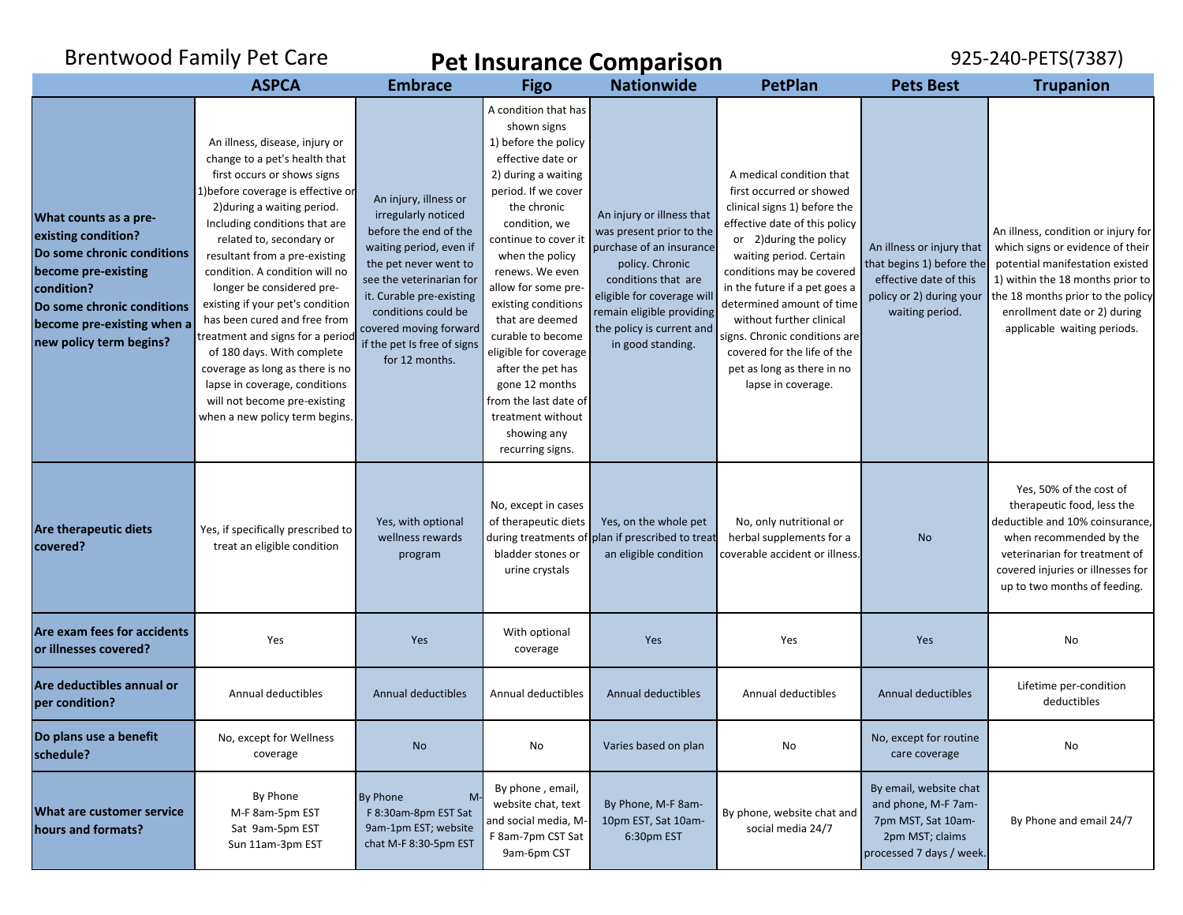|                                                                                                                                                                                                        | <b>Brentwood Family Pet Care</b><br><b>Pet Insurance Comparison</b>                                                                                                                                                                                                                                                                                                                                                                                                                                                                                                                                          |                                                                                                                                                                                                                                                                                     |                                                                                                                                                                                                                                                                                                                                                                                                                                                                     |                                                                                                                                                                                                                                         |                                                                                                                                                                                                                                                                                                                                                                                                                        | 925-240-PETS(7387)                                                                                                              |                                                                                                                                                                                                                                                    |
|--------------------------------------------------------------------------------------------------------------------------------------------------------------------------------------------------------|--------------------------------------------------------------------------------------------------------------------------------------------------------------------------------------------------------------------------------------------------------------------------------------------------------------------------------------------------------------------------------------------------------------------------------------------------------------------------------------------------------------------------------------------------------------------------------------------------------------|-------------------------------------------------------------------------------------------------------------------------------------------------------------------------------------------------------------------------------------------------------------------------------------|---------------------------------------------------------------------------------------------------------------------------------------------------------------------------------------------------------------------------------------------------------------------------------------------------------------------------------------------------------------------------------------------------------------------------------------------------------------------|-----------------------------------------------------------------------------------------------------------------------------------------------------------------------------------------------------------------------------------------|------------------------------------------------------------------------------------------------------------------------------------------------------------------------------------------------------------------------------------------------------------------------------------------------------------------------------------------------------------------------------------------------------------------------|---------------------------------------------------------------------------------------------------------------------------------|----------------------------------------------------------------------------------------------------------------------------------------------------------------------------------------------------------------------------------------------------|
|                                                                                                                                                                                                        | <b>ASPCA</b>                                                                                                                                                                                                                                                                                                                                                                                                                                                                                                                                                                                                 | <b>Embrace</b>                                                                                                                                                                                                                                                                      | <b>Figo</b>                                                                                                                                                                                                                                                                                                                                                                                                                                                         | <b>Nationwide</b>                                                                                                                                                                                                                       | <b>PetPlan</b>                                                                                                                                                                                                                                                                                                                                                                                                         | <b>Pets Best</b>                                                                                                                | <b>Trupanion</b>                                                                                                                                                                                                                                   |
| What counts as a pre-<br>existing condition?<br>Do some chronic conditions<br>become pre-existing<br>condition?<br>Do some chronic conditions<br>become pre-existing when a<br>new policy term begins? | An illness, disease, injury or<br>change to a pet's health that<br>first occurs or shows signs<br>1) before coverage is effective or<br>2) during a waiting period.<br>Including conditions that are<br>related to, secondary or<br>resultant from a pre-existing<br>condition. A condition will no<br>longer be considered pre-<br>existing if your pet's condition<br>has been cured and free from<br>treatment and signs for a period<br>of 180 days. With complete<br>coverage as long as there is no<br>lapse in coverage, conditions<br>will not become pre-existing<br>when a new policy term begins. | An injury, illness or<br>irregularly noticed<br>before the end of the<br>waiting period, even if<br>the pet never went to<br>see the veterinarian for<br>it. Curable pre-existing<br>conditions could be<br>covered moving forward<br>if the pet Is free of signs<br>for 12 months. | A condition that has<br>shown signs<br>1) before the policy<br>effective date or<br>2) during a waiting<br>period. If we cover<br>the chronic<br>condition, we<br>continue to cover it<br>when the policy<br>renews. We even<br>allow for some pre-<br>existing conditions<br>that are deemed<br>curable to become<br>eligible for coverage<br>after the pet has<br>gone 12 months<br>from the last date of<br>treatment without<br>showing any<br>recurring signs. | An injury or illness that<br>was present prior to the<br>purchase of an insurance<br>policy. Chronic<br>conditions that are<br>eligible for coverage wil<br>remain eligible providing<br>the policy is current and<br>in good standing. | A medical condition that<br>first occurred or showed<br>clinical signs 1) before the<br>effective date of this policy<br>or 2) during the policy<br>waiting period. Certain<br>conditions may be covered<br>in the future if a pet goes a<br>determined amount of time<br>without further clinical<br>signs. Chronic conditions are<br>covered for the life of the<br>pet as long as there in no<br>lapse in coverage. | An illness or injury that<br>that begins 1) before the<br>effective date of this<br>policy or 2) during your<br>waiting period. | An illness, condition or injury for<br>which signs or evidence of their<br>potential manifestation existed<br>1) within the 18 months prior to<br>the 18 months prior to the policy<br>enrollment date or 2) during<br>applicable waiting periods. |
| Are therapeutic diets<br>covered?                                                                                                                                                                      | Yes, if specifically prescribed to<br>treat an eligible condition                                                                                                                                                                                                                                                                                                                                                                                                                                                                                                                                            | Yes, with optional<br>wellness rewards<br>program                                                                                                                                                                                                                                   | No, except in cases<br>of therapeutic diets<br>bladder stones or<br>urine crystals                                                                                                                                                                                                                                                                                                                                                                                  | Yes, on the whole pet<br>during treatments of plan if prescribed to treat<br>an eligible condition                                                                                                                                      | No, only nutritional or<br>herbal supplements for a<br>coverable accident or illness.                                                                                                                                                                                                                                                                                                                                  | <b>No</b>                                                                                                                       | Yes, 50% of the cost of<br>therapeutic food, less the<br>deductible and 10% coinsurance,<br>when recommended by the<br>veterinarian for treatment of<br>covered injuries or illnesses for<br>up to two months of feeding.                          |
| Are exam fees for accidents<br>or illnesses covered?                                                                                                                                                   | Yes                                                                                                                                                                                                                                                                                                                                                                                                                                                                                                                                                                                                          | Yes                                                                                                                                                                                                                                                                                 | With optional<br>coverage                                                                                                                                                                                                                                                                                                                                                                                                                                           | Yes                                                                                                                                                                                                                                     | Yes                                                                                                                                                                                                                                                                                                                                                                                                                    | Yes                                                                                                                             | No                                                                                                                                                                                                                                                 |
| Are deductibles annual or<br>per condition?                                                                                                                                                            | Annual deductibles                                                                                                                                                                                                                                                                                                                                                                                                                                                                                                                                                                                           | Annual deductibles                                                                                                                                                                                                                                                                  | Annual deductibles                                                                                                                                                                                                                                                                                                                                                                                                                                                  | Annual deductibles                                                                                                                                                                                                                      | Annual deductibles                                                                                                                                                                                                                                                                                                                                                                                                     | Annual deductibles                                                                                                              | Lifetime per-condition<br>deductibles                                                                                                                                                                                                              |
| Do plans use a benefit<br>schedule?                                                                                                                                                                    | No, except for Wellness<br>coverage                                                                                                                                                                                                                                                                                                                                                                                                                                                                                                                                                                          | <b>No</b>                                                                                                                                                                                                                                                                           | No                                                                                                                                                                                                                                                                                                                                                                                                                                                                  | Varies based on plan                                                                                                                                                                                                                    | No                                                                                                                                                                                                                                                                                                                                                                                                                     | No, except for routine<br>care coverage                                                                                         | No                                                                                                                                                                                                                                                 |
| What are customer service<br>hours and formats?                                                                                                                                                        | By Phone<br>M-F 8am-5pm EST<br>Sat 9am-5pm EST<br>Sun 11am-3pm EST                                                                                                                                                                                                                                                                                                                                                                                                                                                                                                                                           | By Phone<br>M<br>F 8:30am-8pm EST Sat<br>9am-1pm EST; website<br>chat M-F 8:30-5pm EST                                                                                                                                                                                              | By phone, email,<br>website chat, text<br>and social media, M-<br>F 8am-7pm CST Sat<br>9am-6pm CST                                                                                                                                                                                                                                                                                                                                                                  | By Phone, M-F 8am-<br>10pm EST, Sat 10am-<br>6:30pm EST                                                                                                                                                                                 | By phone, website chat and<br>social media 24/7                                                                                                                                                                                                                                                                                                                                                                        | By email, website chat<br>and phone, M-F 7am-<br>7pm MST, Sat 10am-<br>2pm MST; claims<br>processed 7 days / week.              | By Phone and email 24/7                                                                                                                                                                                                                            |